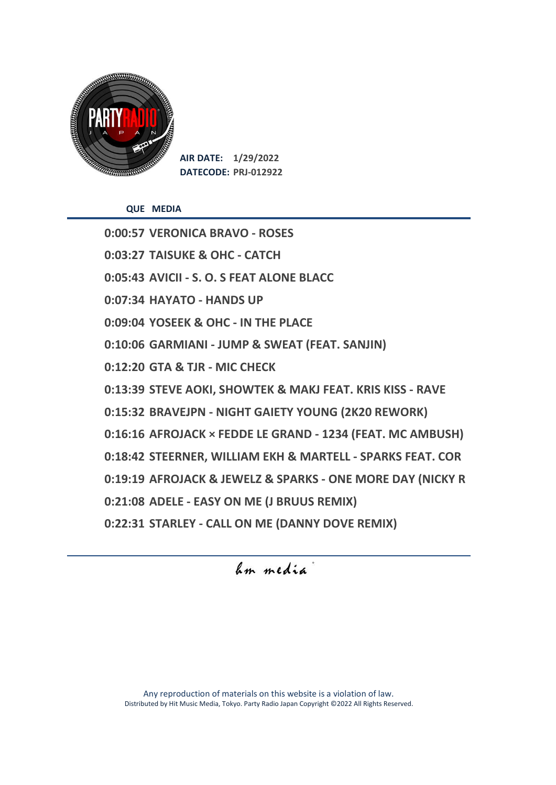

**AIR DATE: 1/29/2022 DATECODE: PRJ-012922**

**QUE MEDIA**

**0:00:57 VERONICA BRAVO - ROSES 0:03:27 TAISUKE & OHC - CATCH 0:05:43 AVICII - S. O. S FEAT ALONE BLACC 0:07:34 HAYATO - HANDS UP 0:09:04 YOSEEK & OHC - IN THE PLACE 0:10:06 GARMIANI - JUMP & SWEAT (FEAT. SANJIN) 0:12:20 GTA & TJR - MIC CHECK 0:13:39 STEVE AOKI, SHOWTEK & MAKJ FEAT. KRIS KISS - RAVE 0:15:32 BRAVEJPN - NIGHT GAIETY YOUNG (2K20 REWORK) 0:16:16 AFROJACK × FEDDE LE GRAND - 1234 (FEAT. MC AMBUSH) 0:18:42 STEERNER, WILLIAM EKH & MARTELL - SPARKS FEAT. COR 0:19:19 AFROJACK & JEWELZ & SPARKS - ONE MORE DAY (NICKY R 0:21:08 ADELE - EASY ON ME (J BRUUS REMIX) 0:22:31 STARLEY - CALL ON ME (DANNY DOVE REMIX)**

hm media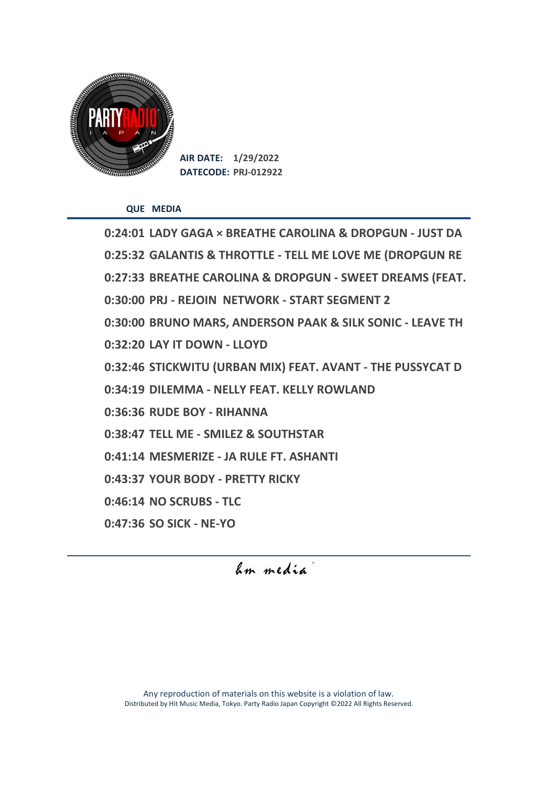

**AIR DATE: 1/29/2022 DATECODE: PRJ-012922**

**QUE MEDIA**

**0:24:01 LADY GAGA × BREATHE CAROLINA & DROPGUN - JUST DA 0:25:32 GALANTIS & THROTTLE - TELL ME LOVE ME (DROPGUN RE 0:27:33 BREATHE CAROLINA & DROPGUN - SWEET DREAMS (FEAT. 0:30:00 PRJ - REJOIN NETWORK - START SEGMENT 2 0:30:00 BRUNO MARS, ANDERSON PAAK & SILK SONIC - LEAVE TH 0:32:20 LAY IT DOWN - LLOYD 0:32:46 STICKWITU (URBAN MIX) FEAT. AVANT - THE PUSSYCAT D 0:34:19 DILEMMA - NELLY FEAT. KELLY ROWLAND 0:36:36 RUDE BOY - RIHANNA 0:38:47 TELL ME - SMILEZ & SOUTHSTAR 0:41:14 MESMERIZE - JA RULE FT. ASHANTI 0:43:37 YOUR BODY - PRETTY RICKY 0:46:14 NO SCRUBS - TLC 0:47:36 SO SICK - NE-YO**

hm media